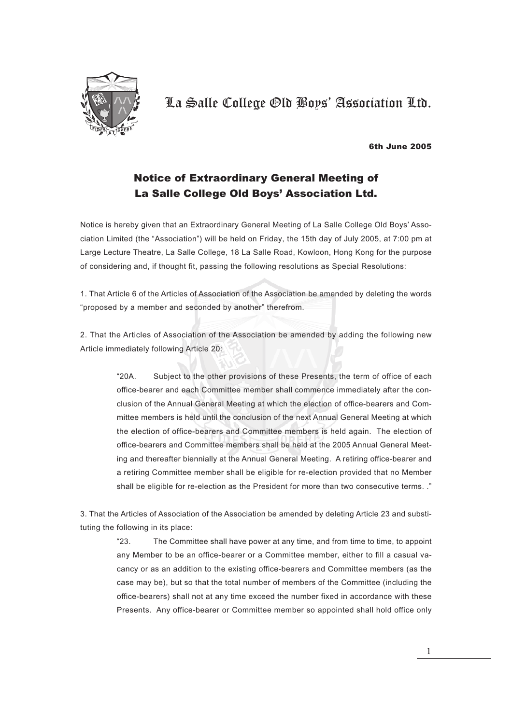

#### 6th June 2005

### Notice of Extraordinary General Meeting of La Salle College Old Boys' Association Ltd.

Notice is hereby given that an Extraordinary General Meeting of La Salle College Old Boys' Association Limited (the "Association") will be held on Friday, the 15th day of July 2005, at 7:00 pm at Large Lecture Theatre, La Salle College, 18 La Salle Road, Kowloon, Hong Kong for the purpose of considering and, if thought fit, passing the following resolutions as Special Resolutions:

1. That Article 6 of the Articles of Association of the Association be amended by deleting the words "proposed by a member and seconded by another" therefrom.

2. That the Articles of Association of the Association be amended by adding the following new Article immediately following Article 20:

> "20A. Subject to the other provisions of these Presents, the term of office of each office-bearer and each Committee member shall commence immediately after the conclusion of the Annual General Meeting at which the election of office-bearers and Committee members is held until the conclusion of the next Annual General Meeting at which the election of office-bearers and Committee members is held again. The election of office-bearers and Committee members shall be held at the 2005 Annual General Meeting and thereafter biennially at the Annual General Meeting. A retiring office-bearer and a retiring Committee member shall be eligible for re-election provided that no Member shall be eligible for re-election as the President for more than two consecutive terms. ."

3. That the Articles of Association of the Association be amended by deleting Article 23 and substituting the following in its place:

> "23. The Committee shall have power at any time, and from time to time, to appoint any Member to be an office-bearer or a Committee member, either to fill a casual vacancy or as an addition to the existing office-bearers and Committee members (as the case may be), but so that the total number of members of the Committee (including the office-bearers) shall not at any time exceed the number fixed in accordance with these Presents. Any office-bearer or Committee member so appointed shall hold office only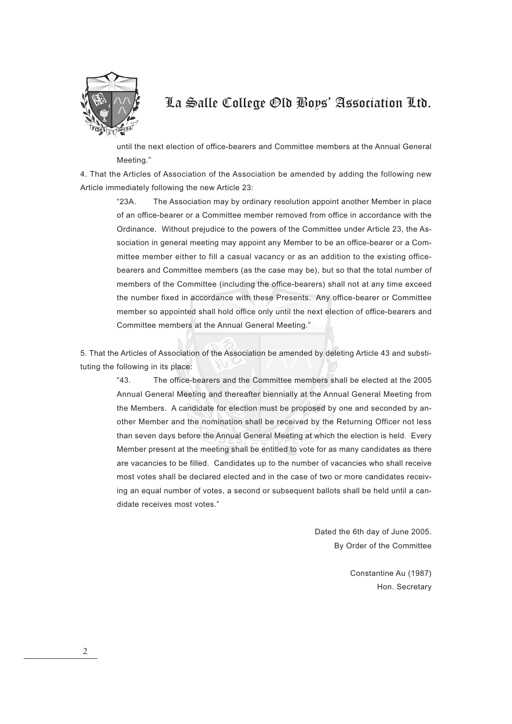

until the next election of office-bearers and Committee members at the Annual General Meeting."

4. That the Articles of Association of the Association be amended by adding the following new Article immediately following the new Article 23:

> "23A. The Association may by ordinary resolution appoint another Member in place of an office-bearer or a Committee member removed from office in accordance with the Ordinance. Without prejudice to the powers of the Committee under Article 23, the Association in general meeting may appoint any Member to be an office-bearer or a Committee member either to fill a casual vacancy or as an addition to the existing officebearers and Committee members (as the case may be), but so that the total number of members of the Committee (including the office-bearers) shall not at any time exceed the number fixed in accordance with these Presents. Any office-bearer or Committee member so appointed shall hold office only until the next election of office-bearers and Committee members at the Annual General Meeting."

5. That the Articles of Association of the Association be amended by deleting Article 43 and substituting the following in its place:

> "43. The office-bearers and the Committee members shall be elected at the 2005 Annual General Meeting and thereafter biennially at the Annual General Meeting from the Members. A candidate for election must be proposed by one and seconded by another Member and the nomination shall be received by the Returning Officer not less than seven days before the Annual General Meeting at which the election is held. Every Member present at the meeting shall be entitled to vote for as many candidates as there are vacancies to be filled. Candidates up to the number of vacancies who shall receive most votes shall be declared elected and in the case of two or more candidates receiving an equal number of votes, a second or subsequent ballots shall be held until a candidate receives most votes."

> > Dated the 6th day of June 2005. By Order of the Committee

> > > Constantine Au (1987) Hon. Secretary

2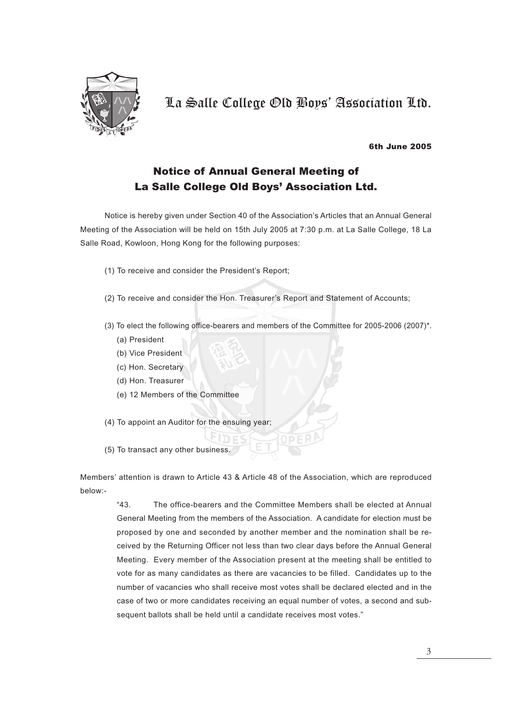

#### 6th June 2005

### Notice of Annual General Meeting of La Salle College Old Boys' Association Ltd.

Notice is hereby given under Section 40 of the Association's Articles that an Annual General Meeting of the Association will be held on 15th July 2005 at 7:30 p.m. at La Salle College, 18 La Salle Road, Kowloon, Hong Kong for the following purposes:

- (1) To receive and consider the President's Report;
- (2) To receive and consider the Hon. Treasurer's Report and Statement of Accounts;
- (3) To elect the following office-bearers and members of the Committee for 2005-2006 (2007)\*.
	- (a) President
	- (b) Vice President
	- (c) Hon. Secretary
	- (d) Hon. Treasurer
	- (e) 12 Members of the Committee
- (4) To appoint an Auditor for the ensuing year;
- (5) To transact any other business.

Members' attention is drawn to Article 43 & Article 48 of the Association, which are reproduced below:-

"43. The office-bearers and the Committee Members shall be elected at Annual General Meeting from the members of the Association. A candidate for election must be proposed by one and seconded by another member and the nomination shall be received by the Returning Officer not less than two clear days before the Annual General Meeting. Every member of the Association present at the meeting shall be entitled to vote for as many candidates as there are vacancies to be filled. Candidates up to the number of vacancies who shall receive most votes shall be declared elected and in the case of two or more candidates receiving an equal number of votes, a second and subsequent ballots shall be held until a candidate receives most votes."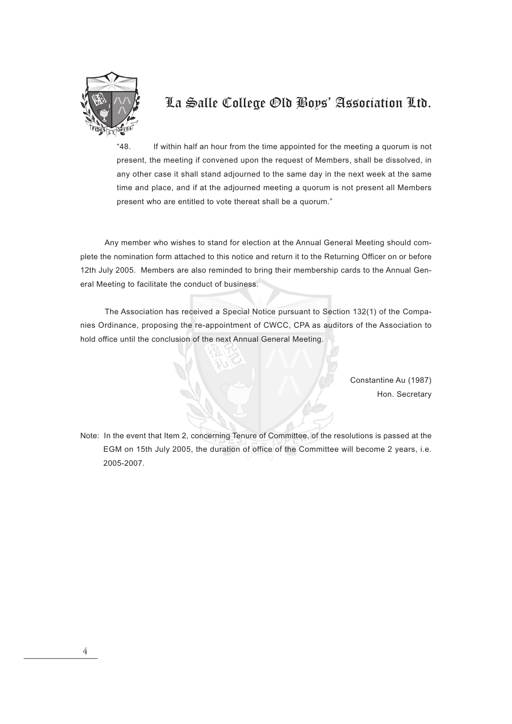

"48. If within half an hour from the time appointed for the meeting a quorum is not present, the meeting if convened upon the request of Members, shall be dissolved, in any other case it shall stand adjourned to the same day in the next week at the same time and place, and if at the adjourned meeting a quorum is not present all Members present who are entitled to vote thereat shall be a quorum."

Any member who wishes to stand for election at the Annual General Meeting should complete the nomination form attached to this notice and return it to the Returning Officer on or before 12th July 2005. Members are also reminded to bring their membership cards to the Annual General Meeting to facilitate the conduct of business.

The Association has received a Special Notice pursuant to Section 132(1) of the Companies Ordinance, proposing the re-appointment of CWCC, CPA as auditors of the Association to hold office until the conclusion of the next Annual General Meeting.

> Constantine Au (1987) Hon. Secretary

Note: In the event that Item 2, concerning Tenure of Committee, of the resolutions is passed at the EGM on 15th July 2005, the duration of office of the Committee will become 2 years, i.e. 2005-2007.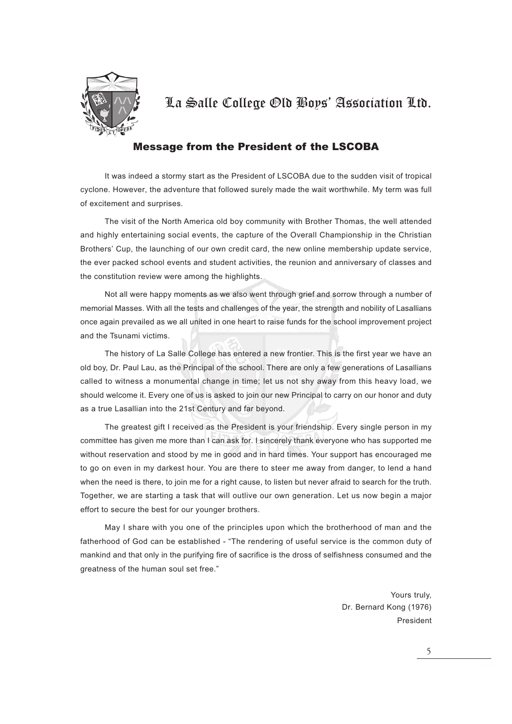

### Message from the President of the LSCOBA

It was indeed a stormy start as the President of LSCOBA due to the sudden visit of tropical cyclone. However, the adventure that followed surely made the wait worthwhile. My term was full of excitement and surprises.

The visit of the North America old boy community with Brother Thomas, the well attended and highly entertaining social events, the capture of the Overall Championship in the Christian Brothers' Cup, the launching of our own credit card, the new online membership update service, the ever packed school events and student activities, the reunion and anniversary of classes and the constitution review were among the highlights.

Not all were happy moments as we also went through grief and sorrow through a number of memorial Masses. With all the tests and challenges of the year, the strength and nobility of Lasallians once again prevailed as we all united in one heart to raise funds for the school improvement project and the Tsunami victims.

The history of La Salle College has entered a new frontier. This is the first year we have an old boy, Dr. Paul Lau, as the Principal of the school. There are only a few generations of Lasallians called to witness a monumental change in time; let us not shy away from this heavy load, we should welcome it. Every one of us is asked to join our new Principal to carry on our honor and duty as a true Lasallian into the 21st Century and far beyond.

The greatest gift I received as the President is your friendship. Every single person in my committee has given me more than I can ask for. I sincerely thank everyone who has supported me without reservation and stood by me in good and in hard times. Your support has encouraged me to go on even in my darkest hour. You are there to steer me away from danger, to lend a hand when the need is there, to join me for a right cause, to listen but never afraid to search for the truth. Together, we are starting a task that will outlive our own generation. Let us now begin a major effort to secure the best for our younger brothers.

May I share with you one of the principles upon which the brotherhood of man and the fatherhood of God can be established - "The rendering of useful service is the common duty of mankind and that only in the purifying fire of sacrifice is the dross of selfishness consumed and the greatness of the human soul set free."

> Yours truly, Dr. Bernard Kong (1976) President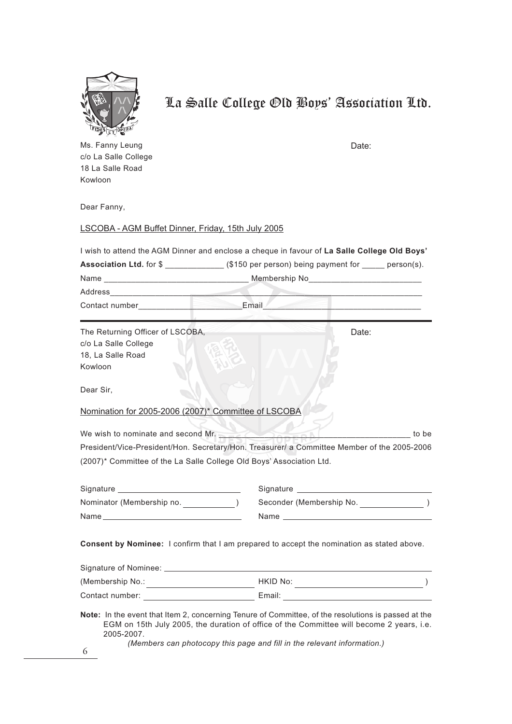

Ms. Fanny Leung c/o La Salle College 18 La Salle Road Kowloon

Date:

Dear Fanny,

#### LSCOBA - AGM Buffet Dinner, Friday, 15th July 2005

I wish to attend the AGM Dinner and enclose a cheque in favour of **La Salle College Old Boys'**

| <b>Association Ltd. for \$</b>                           | (\$150 per person) being payment for | $person(s)$ . |
|----------------------------------------------------------|--------------------------------------|---------------|
| Name                                                     | Membership No                        |               |
| Address                                                  |                                      |               |
| Contact number                                           | Email                                |               |
| The Returning Officer of LSCOBA,<br>c/o La Salle College |                                      | Date:         |

18, La Salle Road

Kowloon

Dear Sir,

Nomination for 2005-2006 (2007)\* Committee of LSCOBA

We wish to nominate and second Mr. President/Vice-President/Hon. Secretary/Hon. Treasurer/ a Committee Member of the 2005-2006 (2007)\* Committee of the La Salle College Old Boys' Association Ltd.

| Signature                 | Signature                |
|---------------------------|--------------------------|
| Nominator (Membership no. | Seconder (Membership No. |
| Name                      | Name                     |

**Consent by Nominee:** I confirm that I am prepared to accept the nomination as stated above.

| Signature of Nominee: |          |
|-----------------------|----------|
| (Membership No.:      | HKID No: |
| Contact number:       | Email:   |

**Note:** In the event that Item 2, concerning Tenure of Committee, of the resolutions is passed at the EGM on 15th July 2005, the duration of office of the Committee will become 2 years, i.e. 2005-2007.

*(Members can photocopy this page and fill in the relevant information.)*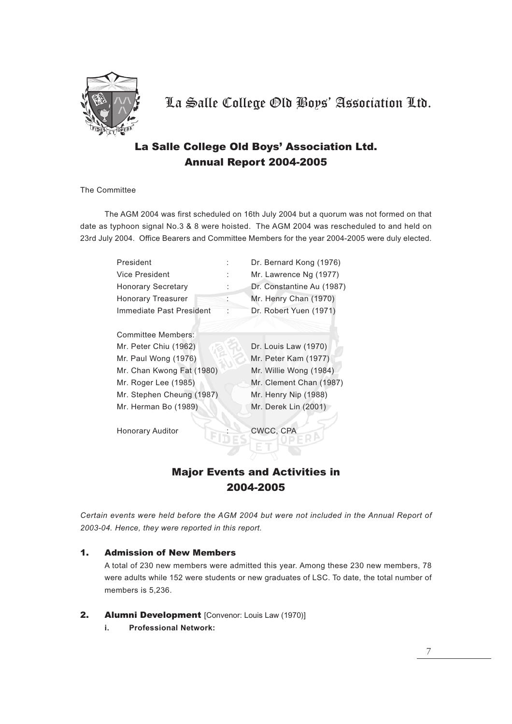

### La Salle College Old Boys' Association Ltd. Annual Report 2004-2005

The Committee

The AGM 2004 was first scheduled on 16th July 2004 but a quorum was not formed on that date as typhoon signal No.3 & 8 were hoisted. The AGM 2004 was rescheduled to and held on 23rd July 2004. Office Bearers and Committee Members for the year 2004-2005 were duly elected.

| President                 | Dr. Bernard Kong (1976)   |
|---------------------------|---------------------------|
| Vice President            | Mr. Lawrence Ng (1977)    |
| <b>Honorary Secretary</b> | Dr. Constantine Au (1987) |
| <b>Honorary Treasurer</b> | Mr. Henry Chan (1970)     |
| Immediate Past President  | Dr. Robert Yuen (1971)    |
|                           |                           |
| Committee Members:        |                           |
| Mr. Peter Chiu (1962)     | Dr. Louis Law (1970)      |
| Mr. Paul Wong (1976)      | Mr. Peter Kam (1977)      |
| Mr. Chan Kwong Fat (1980) | Mr. Willie Wong (1984)    |
| Mr. Roger Lee (1985)      | Mr. Clement Chan (1987)   |
| Mr. Stephen Cheung (1987) | Mr. Henry Nip (1988)      |
| Mr. Herman Bo (1989)      | Mr. Derek Lin (2001)      |
|                           |                           |
| <b>Honorary Auditor</b>   | CWCC. CPA                 |

### Major Events and Activities in 2004-2005

*Certain events were held before the AGM 2004 but were not included in the Annual Report of 2003-04. Hence, they were reported in this report.*

#### 1. Admission of New Members

A total of 230 new members were admitted this year. Among these 230 new members, 78 were adults while 152 were students or new graduates of LSC. To date, the total number of members is 5,236.

- 2. Alumni Development [Convenor: Louis Law (1970)]
	- **i. Professional Network:**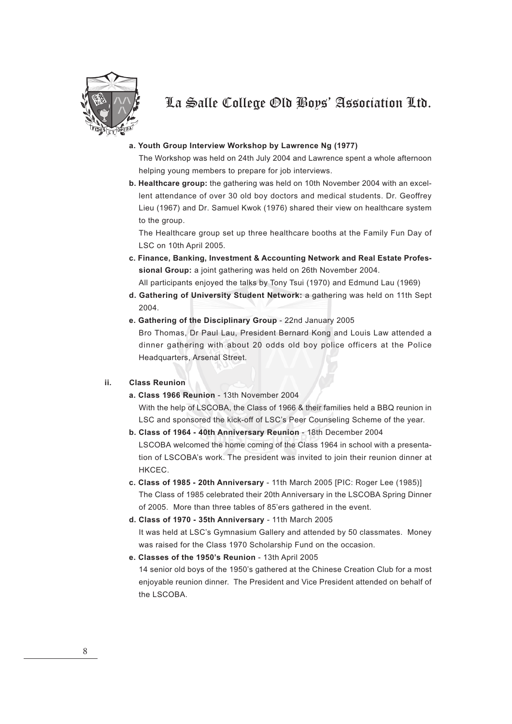

#### **a. Youth Group Interview Workshop by Lawrence Ng (1977)**

The Workshop was held on 24th July 2004 and Lawrence spent a whole afternoon helping young members to prepare for job interviews.

**b. Healthcare group:** the gathering was held on 10th November 2004 with an excellent attendance of over 30 old boy doctors and medical students. Dr. Geoffrey Lieu (1967) and Dr. Samuel Kwok (1976) shared their view on healthcare system to the group.

The Healthcare group set up three healthcare booths at the Family Fun Day of LSC on 10th April 2005.

**c. Finance, Banking, Investment & Accounting Network and Real Estate Professional Group:** a joint gathering was held on 26th November 2004.

All participants enjoyed the talks by Tony Tsui (1970) and Edmund Lau (1969)

- **d. Gathering of University Student Network:** a gathering was held on 11th Sept 2004.
- **e. Gathering of the Disciplinary Group** 22nd January 2005 Bro Thomas, Dr Paul Lau, President Bernard Kong and Louis Law attended a dinner gathering with about 20 odds old boy police officers at the Police Headquarters, Arsenal Street.

#### **ii. Class Reunion**

**a. Class 1966 Reunion** - 13th November 2004

With the help of LSCOBA, the Class of 1966 & their families held a BBQ reunion in LSC and sponsored the kick-off of LSC's Peer Counseling Scheme of the year.

- **b. Class of 1964 40th Anniversary Reunion** 18th December 2004 LSCOBA welcomed the home coming of the Class 1964 in school with a presentation of LSCOBA's work. The president was invited to join their reunion dinner at HKCEC.
- **c. Class of 1985 20th Anniversary** 11th March 2005 [PIC: Roger Lee (1985)] The Class of 1985 celebrated their 20th Anniversary in the LSCOBA Spring Dinner of 2005. More than three tables of 85'ers gathered in the event.
- **d. Class of 1970 35th Anniversary** 11th March 2005 It was held at LSC's Gymnasium Gallery and attended by 50 classmates. Money was raised for the Class 1970 Scholarship Fund on the occasion.
- **e. Classes of the 1950's Reunion** 13th April 2005 14 senior old boys of the 1950's gathered at the Chinese Creation Club for a most enjoyable reunion dinner. The President and Vice President attended on behalf of the LSCOBA.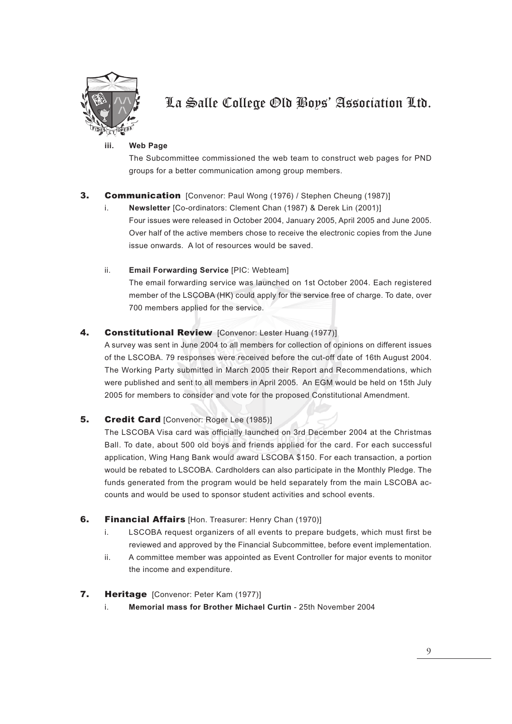

#### **iii. Web Page**

The Subcommittee commissioned the web team to construct web pages for PND groups for a better communication among group members.

### **3. Communication** [Convenor: Paul Wong (1976) / Stephen Cheung (1987)]

i. **Newsletter** [Co-ordinators: Clement Chan (1987) & Derek Lin (2001)] Four issues were released in October 2004, January 2005, April 2005 and June 2005. Over half of the active members chose to receive the electronic copies from the June issue onwards. A lot of resources would be saved.

#### ii. **Email Forwarding Service** [PIC: Webteam]

The email forwarding service was launched on 1st October 2004. Each registered member of the LSCOBA (HK) could apply for the service free of charge. To date, over 700 members applied for the service.

#### 4. Constitutional Review [Convenor: Lester Huang (1977)]

A survey was sent in June 2004 to all members for collection of opinions on different issues of the LSCOBA. 79 responses were received before the cut-off date of 16th August 2004. The Working Party submitted in March 2005 their Report and Recommendations, which were published and sent to all members in April 2005. An EGM would be held on 15th July 2005 for members to consider and vote for the proposed Constitutional Amendment.

#### 5. Credit Card [Convenor: Roger Lee (1985)]

The LSCOBA Visa card was officially launched on 3rd December 2004 at the Christmas Ball. To date, about 500 old boys and friends applied for the card. For each successful application, Wing Hang Bank would award LSCOBA \$150. For each transaction, a portion would be rebated to LSCOBA. Cardholders can also participate in the Monthly Pledge. The funds generated from the program would be held separately from the main LSCOBA accounts and would be used to sponsor student activities and school events.

#### **6.** Financial Affairs [Hon. Treasurer: Henry Chan (1970)]

- i. LSCOBA request organizers of all events to prepare budgets, which must first be reviewed and approved by the Financial Subcommittee, before event implementation.
- ii. A committee member was appointed as Event Controller for major events to monitor the income and expenditure.

#### 7. Heritage [Convenor: Peter Kam (1977)]

i. **Memorial mass for Brother Michael Curtin** - 25th November 2004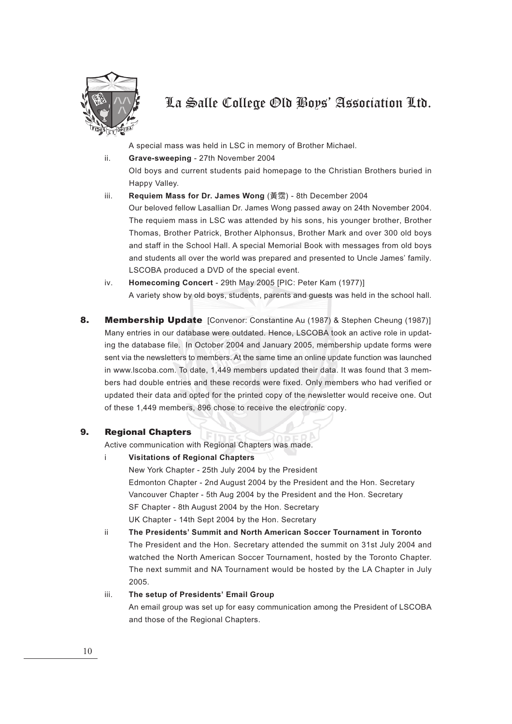

A special mass was held in LSC in memory of Brother Michael.

ii. **Grave-sweeping** - 27th November 2004

Old boys and current students paid homepage to the Christian Brothers buried in Happy Valley.

iii. **Requiem Mass for Dr. James Wong** (黃霑) - 8th December 2004

Our beloved fellow Lasallian Dr. James Wong passed away on 24th November 2004. The requiem mass in LSC was attended by his sons, his younger brother, Brother Thomas, Brother Patrick, Brother Alphonsus, Brother Mark and over 300 old boys and staff in the School Hall. A special Memorial Book with messages from old boys and students all over the world was prepared and presented to Uncle James' family. LSCOBA produced a DVD of the special event.

- iv. **Homecoming Concert** 29th May 2005 [PIC: Peter Kam (1977)] A variety show by old boys, students, parents and guests was held in the school hall.
- 8. Membership Update [Convenor: Constantine Au (1987) & Stephen Cheung (1987)] Many entries in our database were outdated. Hence, LSCOBA took an active role in updating the database file. In October 2004 and January 2005, membership update forms were sent via the newsletters to members. At the same time an online update function was launched in www.lscoba.com. To date, 1,449 members updated their data. It was found that 3 members had double entries and these records were fixed. Only members who had verified or updated their data and opted for the printed copy of the newsletter would receive one. Out of these 1,449 members, 896 chose to receive the electronic copy.

#### 9. Regional Chapters

Active communication with Regional Chapters was made.

i **Visitations of Regional Chapters**

New York Chapter - 25th July 2004 by the President Edmonton Chapter - 2nd August 2004 by the President and the Hon. Secretary Vancouver Chapter - 5th Aug 2004 by the President and the Hon. Secretary SF Chapter - 8th August 2004 by the Hon. Secretary UK Chapter - 14th Sept 2004 by the Hon. Secretary

ii **The Presidents' Summit and North American Soccer Tournament in Toronto** The President and the Hon. Secretary attended the summit on 31st July 2004 and watched the North American Soccer Tournament, hosted by the Toronto Chapter. The next summit and NA Tournament would be hosted by the LA Chapter in July 2005.

#### iii. **The setup of Presidents' Email Group**

An email group was set up for easy communication among the President of LSCOBA and those of the Regional Chapters.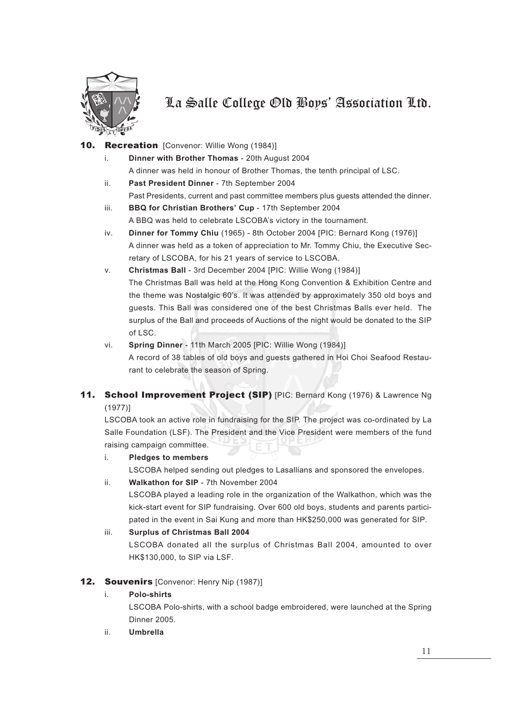

#### 10. Recreation [Convenor: Willie Wong (1984)]

- i. **Dinner with Brother Thomas** 20th August 2004 A dinner was held in honour of Brother Thomas, the tenth principal of LSC.
- ii. **Past President Dinner** 7th September 2004 Past Presidents, current and past committee members plus guests attended the dinner.
- iii. **BBQ for Christian Brothers' Cup** 17th September 2004 A BBQ was held to celebrate LSCOBA's victory in the tournament.
- iv. **Dinner for Tommy Chiu** (1965) 8th October 2004 [PIC: Bernard Kong (1976)] A dinner was held as a token of appreciation to Mr. Tommy Chiu, the Executive Secretary of LSCOBA, for his 21 years of service to LSCOBA.
- v. **Christmas Ball** 3rd December 2004 [PIC: Willie Wong (1984)] The Christmas Ball was held at the Hong Kong Convention & Exhibition Centre and the theme was Nostalgic 60's. It was attended by approximately 350 old boys and guests. This Ball was considered one of the best Christmas Balls ever held. The surplus of the Ball and proceeds of Auctions of the night would be donated to the SIP of LSC.
- vi. **Spring Dinner** 11th March 2005 [PIC: Willie Wong (1984)] A record of 38 tables of old boys and guests gathered in Hoi Choi Seafood Restaurant to celebrate the season of Spring.

### 11. School Improvement Project (SIP) [PIC: Bernard Kong (1976) & Lawrence Ng (1977)]

LSCOBA took an active role in fundraising for the SIP. The project was co-ordinated by La Salle Foundation (LSF). The President and the Vice President were members of the fund raising campaign committee.

#### i. **Pledges to members**

LSCOBA helped sending out pledges to Lasallians and sponsored the envelopes.

#### ii. **Walkathon for SIP** - 7th November 2004

LSCOBA played a leading role in the organization of the Walkathon, which was the kick-start event for SIP fundraising. Over 600 old boys, students and parents participated in the event in Sai Kung and more than HK\$250,000 was generated for SIP.

#### iii. **Surplus of Christmas Ball 2004**

LSCOBA donated all the surplus of Christmas Ball 2004, amounted to over HK\$130,000, to SIP via LSF.

#### 12. Souvenirs [Convenor: Henry Nip (1987)]

#### i. **Polo-shirts**

LSCOBA Polo-shirts, with a school badge embroidered, were launched at the Spring Dinner 2005.

ii. **Umbrella**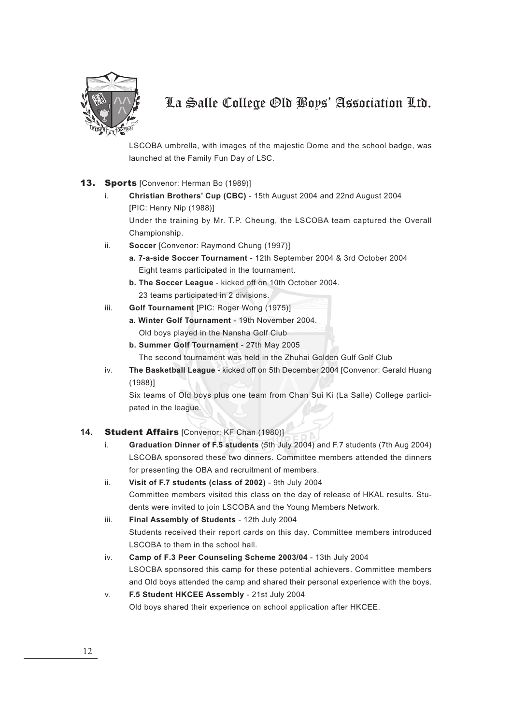

LSCOBA umbrella, with images of the majestic Dome and the school badge, was launched at the Family Fun Day of LSC.

#### 13. Sports [Convenor: Herman Bo (1989)]

i. **Christian Brothers' Cup (CBC)** - 15th August 2004 and 22nd August 2004 [PIC: Henry Nip (1988)]

Under the training by Mr. T.P. Cheung, the LSCOBA team captured the Overall Championship.

- ii. **Soccer** [Convenor: Raymond Chung (1997)]
	- **a. 7-a-side Soccer Tournament** 12th September 2004 & 3rd October 2004 Eight teams participated in the tournament.
	- **b. The Soccer League** kicked off on 10th October 2004. 23 teams participated in 2 divisions.
- iii. **Golf Tournament** [PIC: Roger Wong (1975)]
	- **a. Winter Golf Tournament** 19th November 2004. Old boys played in the Nansha Golf Club
	- **b. Summer Golf Tournament** 27th May 2005 The second tournament was held in the Zhuhai Golden Gulf Golf Club
- iv. **The Basketball League** kicked off on 5th December 2004 [Convenor: Gerald Huang (1988)]

Six teams of Old boys plus one team from Chan Sui Ki (La Salle) College participated in the league.

#### 14. Student Affairs [Convenor: KF Chan (1980)]

- i. **Graduation Dinner of F.5 students** (5th July 2004) and F.7 students (7th Aug 2004) LSCOBA sponsored these two dinners. Committee members attended the dinners for presenting the OBA and recruitment of members.
- ii. **Visit of F.7 students (class of 2002)** 9th July 2004 Committee members visited this class on the day of release of HKAL results. Students were invited to join LSCOBA and the Young Members Network.
- iii. **Final Assembly of Students** 12th July 2004 Students received their report cards on this day. Committee members introduced LSCOBA to them in the school hall.
- iv. **Camp of F.3 Peer Counseling Scheme 2003/04** 13th July 2004 LSOCBA sponsored this camp for these potential achievers. Committee members and Old boys attended the camp and shared their personal experience with the boys.
- v. **F.5 Student HKCEE Assembly** 21st July 2004 Old boys shared their experience on school application after HKCEE.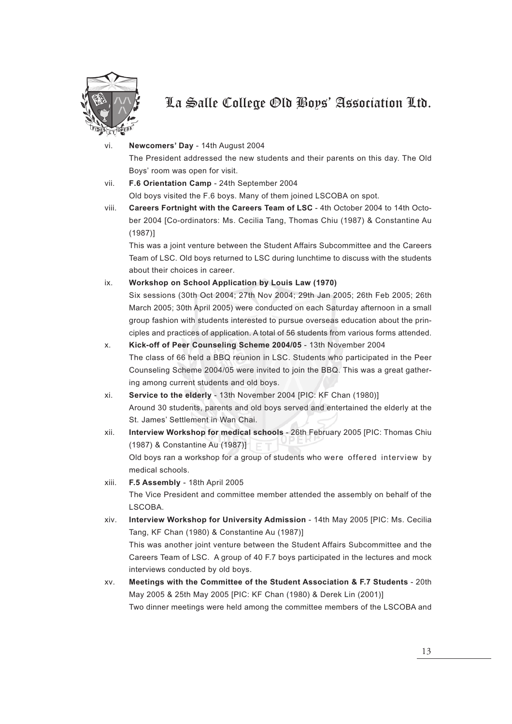

### vi. **Newcomers' Day** - 14th August 2004 The President addressed the new students and their parents on this day. The Old Boys' room was open for visit.

- vii. **F.6 Orientation Camp** 24th September 2004 Old boys visited the F.6 boys. Many of them joined LSCOBA on spot.
- viii. **Careers Fortnight with the Careers Team of LSC** 4th October 2004 to 14th October 2004 [Co-ordinators: Ms. Cecilia Tang, Thomas Chiu (1987) & Constantine Au (1987)]

This was a joint venture between the Student Affairs Subcommittee and the Careers Team of LSC. Old boys returned to LSC during lunchtime to discuss with the students about their choices in career.

ix. **Workshop on School Application by Louis Law (1970)**

Six sessions (30th Oct 2004; 27th Nov 2004; 29th Jan 2005; 26th Feb 2005; 26th March 2005; 30th April 2005) were conducted on each Saturday afternoon in a small group fashion with students interested to pursue overseas education about the principles and practices of application. A total of 56 students from various forms attended.

#### x. **Kick-off of Peer Counseling Scheme 2004/05** - 13th November 2004

The class of 66 held a BBQ reunion in LSC. Students who participated in the Peer Counseling Scheme 2004/05 were invited to join the BBQ. This was a great gathering among current students and old boys.

- xi. **Service to the elderly** 13th November 2004 [PIC: KF Chan (1980)] Around 30 students, parents and old boys served and entertained the elderly at the St. James' Settlement in Wan Chai.
- xii. **Interview Workshop for medical schools** 26th February 2005 [PIC: Thomas Chiu (1987) & Constantine Au (1987)] Old boys ran a workshop for a group of students who were offered interview by medical schools.
- xiii. **F.5 Assembly** 18th April 2005 The Vice President and committee member attended the assembly on behalf of the LSCOBA.
- xiv. **Interview Workshop for University Admission** 14th May 2005 [PIC: Ms. Cecilia Tang, KF Chan (1980) & Constantine Au (1987)] This was another joint venture between the Student Affairs Subcommittee and the Careers Team of LSC. A group of 40 F.7 boys participated in the lectures and mock interviews conducted by old boys.
- xv. **Meetings with the Committee of the Student Association & F.7 Students** 20th May 2005 & 25th May 2005 [PIC: KF Chan (1980) & Derek Lin (2001)] Two dinner meetings were held among the committee members of the LSCOBA and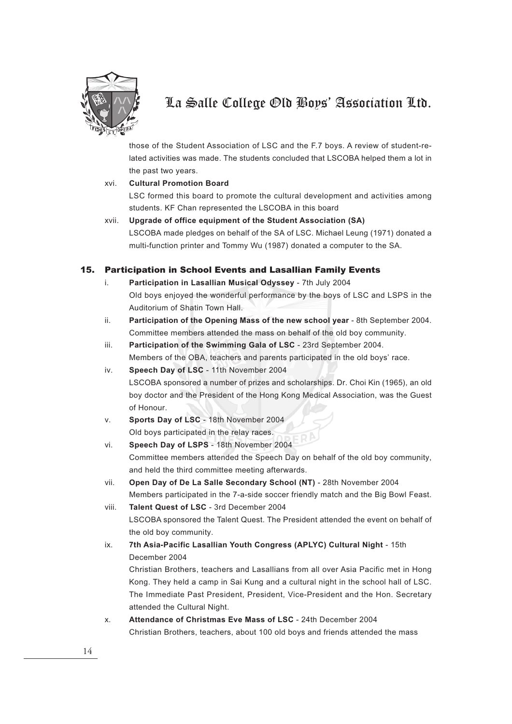

those of the Student Association of LSC and the F.7 boys. A review of student-related activities was made. The students concluded that LSCOBA helped them a lot in the past two years.

#### xvi. **Cultural Promotion Board**

LSC formed this board to promote the cultural development and activities among students. KF Chan represented the LSCOBA in this board

xvii. **Upgrade of office equipment of the Student Association (SA)** LSCOBA made pledges on behalf of the SA of LSC. Michael Leung (1971) donated a multi-function printer and Tommy Wu (1987) donated a computer to the SA.

#### 15. Participation in School Events and Lasallian Family Events

- i. **Participation in Lasallian Musical Odyssey** 7th July 2004 Old boys enjoyed the wonderful performance by the boys of LSC and LSPS in the Auditorium of Shatin Town Hall.
- ii. **Participation of the Opening Mass of the new school year** 8th September 2004. Committee members attended the mass on behalf of the old boy community.
- iii. **Participation of the Swimming Gala of LSC** 23rd September 2004. Members of the OBA, teachers and parents participated in the old boys' race.
- iv. **Speech Day of LSC** 11th November 2004 LSCOBA sponsored a number of prizes and scholarships. Dr. Choi Kin (1965), an old boy doctor and the President of the Hong Kong Medical Association, was the Guest of Honour.
- v. **Sports Day of LSC** 18th November 2004 Old boys participated in the relay races.
- vi. **Speech Day of LSPS** 18th November 2004 Committee members attended the Speech Day on behalf of the old boy community, and held the third committee meeting afterwards.
- vii. **Open Day of De La Salle Secondary School (NT)** 28th November 2004 Members participated in the 7-a-side soccer friendly match and the Big Bowl Feast.
- viii. **Talent Quest of LSC** 3rd December 2004 LSCOBA sponsored the Talent Quest. The President attended the event on behalf of the old boy community.
- ix. **7th Asia-Pacific Lasallian Youth Congress (APLYC) Cultural Night**  15th December 2004

Christian Brothers, teachers and Lasallians from all over Asia Pacific met in Hong Kong. They held a camp in Sai Kung and a cultural night in the school hall of LSC. The Immediate Past President, President, Vice-President and the Hon. Secretary attended the Cultural Night.

x. **Attendance of Christmas Eve Mass of LSC** - 24th December 2004 Christian Brothers, teachers, about 100 old boys and friends attended the mass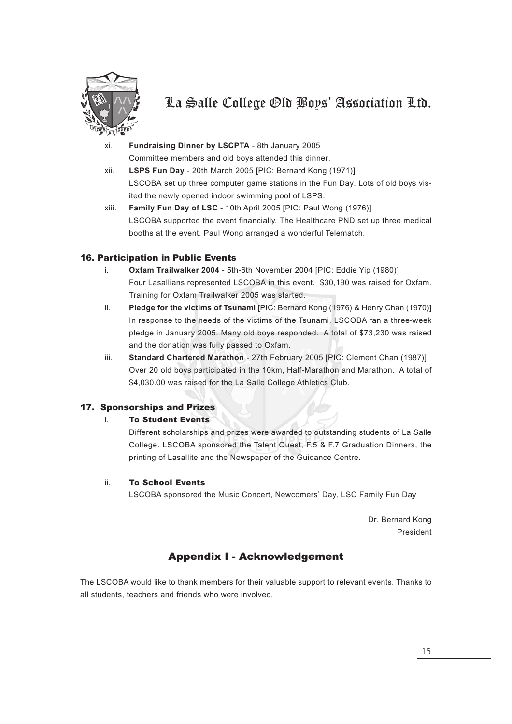

- xi. **Fundraising Dinner by LSCPTA** 8th January 2005 Committee members and old boys attended this dinner.
- xii. **LSPS Fun Day** 20th March 2005 [PIC: Bernard Kong (1971)] LSCOBA set up three computer game stations in the Fun Day. Lots of old boys visited the newly opened indoor swimming pool of LSPS.
- xiii. **Family Fun Day of LSC** 10th April 2005 [PIC: Paul Wong (1976)] LSCOBA supported the event financially. The Healthcare PND set up three medical booths at the event. Paul Wong arranged a wonderful Telematch.

#### 16. Participation in Public Events

- i. **Oxfam Trailwalker 2004** 5th-6th November 2004 [PIC: Eddie Yip (1980)] Four Lasallians represented LSCOBA in this event. \$30,190 was raised for Oxfam. Training for Oxfam Trailwalker 2005 was started.
- ii. **Pledge for the victims of Tsunami** [PIC: Bernard Kong (1976) & Henry Chan (1970)] In response to the needs of the victims of the Tsunami, LSCOBA ran a three-week pledge in January 2005. Many old boys responded. A total of \$73,230 was raised and the donation was fully passed to Oxfam.
- iii. **Standard Chartered Marathon** 27th February 2005 [PIC: Clement Chan (1987)] Over 20 old boys participated in the 10km, Half-Marathon and Marathon. A total of \$4,030.00 was raised for the La Salle College Athletics Club.

#### 17. Sponsorships and Prizes

#### i. To Student Events

Different scholarships and prizes were awarded to outstanding students of La Salle College. LSCOBA sponsored the Talent Quest, F.5 & F.7 Graduation Dinners, the printing of Lasallite and the Newspaper of the Guidance Centre.

#### ii. To School Events

LSCOBA sponsored the Music Concert, Newcomers' Day, LSC Family Fun Day

Dr. Bernard Kong President

### Appendix I - Acknowledgement

The LSCOBA would like to thank members for their valuable support to relevant events. Thanks to all students, teachers and friends who were involved.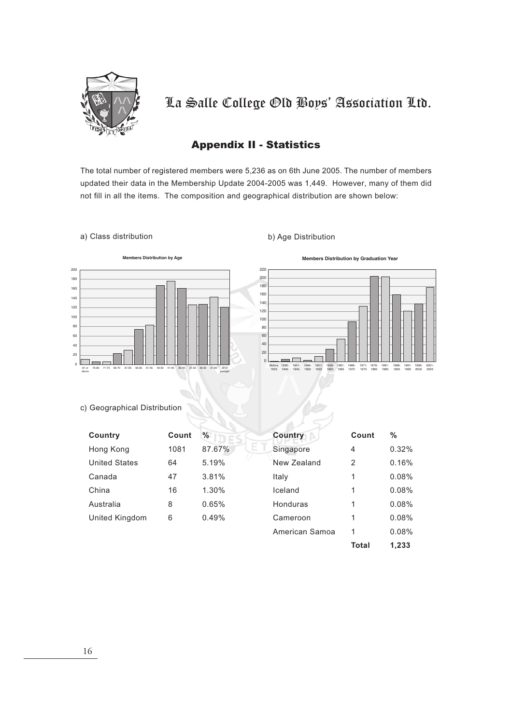

### Appendix II - Statistics

The total number of registered members were 5,236 as on 6th June 2005. The number of members updated their data in the Membership Update 2004-2005 was 1,449. However, many of them did not fill in all the items. The composition and geographical distribution are shown below:

#### a) Class distribution b) Age Distribution





#### c) Geographical Distribution

| Country              | Count | $\%$         | <b>Country</b> | Count | %     |
|----------------------|-------|--------------|----------------|-------|-------|
| Hong Kong            | 1081  | E.<br>87.67% | Singapore      | 4     | 0.32% |
| <b>United States</b> | 64    | 5.19%        | New Zealand    | 2     | 0.16% |
| Canada               | 47    | 3.81%        | Italy          | 1     | 0.08% |
| China                | 16    | $1.30\%$     | Iceland        | 1     | 0.08% |
| Australia            | 8     | 0.65%        | Honduras       | 1     | 0.08% |
| United Kingdom       | 6     | 0.49%        | Cameroon       | 1     | 0.08% |
|                      |       |              | American Samoa |       | 0.08% |

**Total 1,233**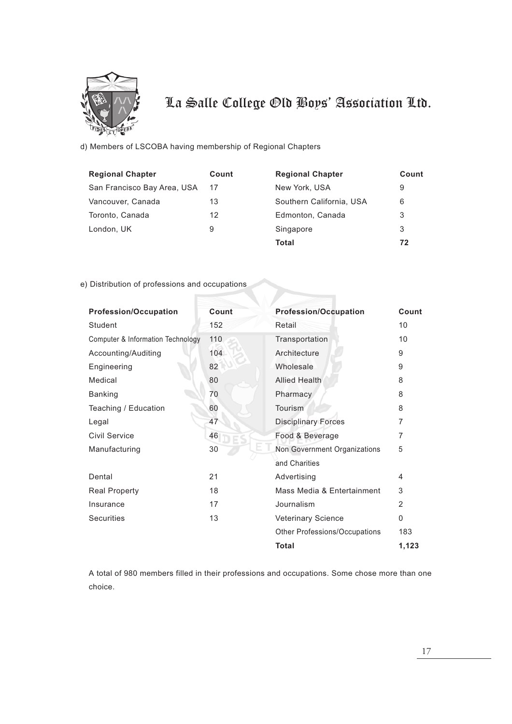

d) Members of LSCOBA having membership of Regional Chapters

| <b>Regional Chapter</b>     | Count | <b>Regional Chapter</b>  | Count |
|-----------------------------|-------|--------------------------|-------|
| San Francisco Bay Area, USA | 17    | New York, USA            | 9     |
| Vancouver, Canada           | 13    | Southern California, USA | 6     |
| Toronto, Canada             | 12    | Edmonton, Canada         | 3     |
| London, UK                  | 9     | Singapore                | 3     |
|                             |       | Total                    | 72    |

#### e) Distribution of professions and occupations

| <b>Profession/Occupation</b>                 | Count | <b>Profession/Occupation</b>  | Count    |
|----------------------------------------------|-------|-------------------------------|----------|
| Student                                      | 152   | Retail                        | 10       |
| <b>Computer &amp; Information Technology</b> | 110   | Transportation                | 10       |
| Accounting/Auditing                          | 104   | Architecture                  | 9        |
| Engineering                                  | 82    | Wholesale                     | 9        |
| Medical                                      | 80    | <b>Allied Health</b>          | 8        |
| <b>Banking</b>                               | 70    | Pharmacy                      | 8        |
| Teaching / Education                         | 60    | Tourism                       | 8        |
| Legal                                        | 47    | <b>Disciplinary Forces</b>    | 7        |
| Civil Service                                | 46    | Food & Beverage               | 7        |
| Manufacturing                                | 30    | Non Government Organizations  | 5        |
|                                              |       | and Charities                 |          |
| Dental                                       | 21    | Advertising                   | 4        |
| <b>Real Property</b>                         | 18    | Mass Media & Entertainment    | 3        |
| Insurance                                    | 17    | Journalism                    | 2        |
| <b>Securities</b>                            | 13    | <b>Veterinary Science</b>     | $\Omega$ |
|                                              |       | Other Professions/Occupations | 183      |
|                                              |       | <b>Total</b>                  | 1.123    |

A total of 980 members filled in their professions and occupations. Some chose more than one choice.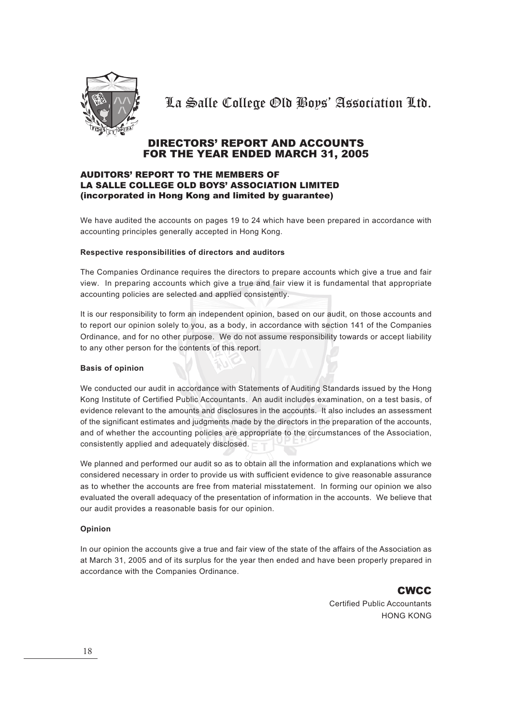

### DIRECTORS' REPORT AND ACCOUNTS FOR THE YEAR ENDED MARCH 31, 2005

#### AUDITORS' REPORT TO THE MEMBERS OF LA SALLE COLLEGE OLD BOYS' ASSOCIATION LIMITED (incorporated in Hong Kong and limited by guarantee)

We have audited the accounts on pages 19 to 24 which have been prepared in accordance with accounting principles generally accepted in Hong Kong.

#### **Respective responsibilities of directors and auditors**

The Companies Ordinance requires the directors to prepare accounts which give a true and fair view. In preparing accounts which give a true and fair view it is fundamental that appropriate accounting policies are selected and applied consistently.

It is our responsibility to form an independent opinion, based on our audit, on those accounts and to report our opinion solely to you, as a body, in accordance with section 141 of the Companies Ordinance, and for no other purpose. We do not assume responsibility towards or accept liability to any other person for the contents of this report.

#### **Basis of opinion**

We conducted our audit in accordance with Statements of Auditing Standards issued by the Hong Kong Institute of Certified Public Accountants. An audit includes examination, on a test basis, of evidence relevant to the amounts and disclosures in the accounts. It also includes an assessment of the significant estimates and judgments made by the directors in the preparation of the accounts, and of whether the accounting policies are appropriate to the circumstances of the Association, consistently applied and adequately disclosed.

We planned and performed our audit so as to obtain all the information and explanations which we considered necessary in order to provide us with sufficient evidence to give reasonable assurance as to whether the accounts are free from material misstatement. In forming our opinion we also evaluated the overall adequacy of the presentation of information in the accounts. We believe that our audit provides a reasonable basis for our opinion.

#### **Opinion**

In our opinion the accounts give a true and fair view of the state of the affairs of the Association as at March 31, 2005 and of its surplus for the year then ended and have been properly prepared in accordance with the Companies Ordinance.

> **CWCC** Certified Public Accountants HONG KONG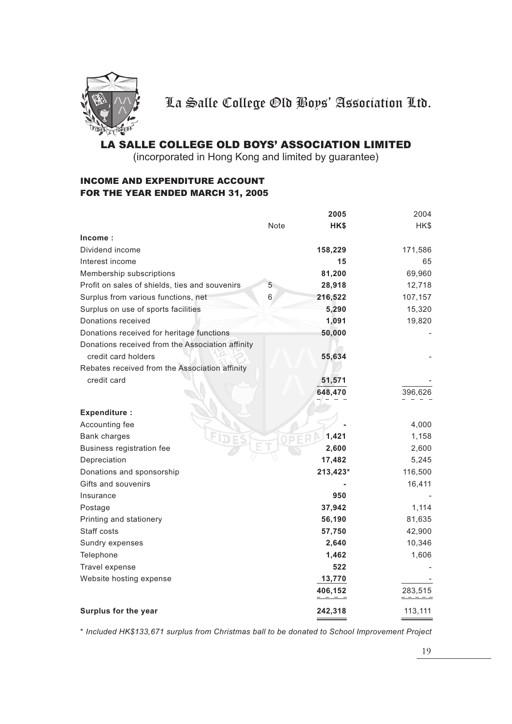

### LA SALLE COLLEGE OLD BOYS' ASSOCIATION LIMITED

(incorporated in Hong Kong and limited by guarantee)

### INCOME AND EXPENDITURE ACCOUNT FOR THE YEAR ENDED MARCH 31, 2005

|                                                  |      | 2005     | 2004    |
|--------------------------------------------------|------|----------|---------|
|                                                  | Note | HK\$     | HK\$    |
| Income:                                          |      |          |         |
| Dividend income                                  |      | 158,229  | 171,586 |
| Interest income                                  |      | 15       | 65      |
| Membership subscriptions                         |      | 81,200   | 69,960  |
| Profit on sales of shields, ties and souvenirs   | 5    | 28,918   | 12,718  |
| Surplus from various functions, net              | 6    | 216,522  | 107,157 |
| Surplus on use of sports facilities              |      | 5,290    | 15,320  |
| Donations received                               |      | 1,091    | 19,820  |
| Donations received for heritage functions        |      | 50,000   |         |
| Donations received from the Association affinity |      |          |         |
| credit card holders                              |      | 55,634   |         |
| Rebates received from the Association affinity   |      |          |         |
| credit card                                      |      | 51,571   |         |
|                                                  |      | 648,470  | 396,626 |
|                                                  |      |          |         |
| <b>Expenditure:</b>                              |      |          |         |
| Accounting fee                                   |      |          | 4,000   |
| <b>Bank charges</b>                              |      | 1,421    | 1,158   |
| Business registration fee                        |      | 2,600    | 2,600   |
| Depreciation                                     |      | 17,482   | 5,245   |
| Donations and sponsorship                        |      | 213,423* | 116,500 |
| Gifts and souvenirs                              |      |          | 16,411  |
| Insurance                                        |      | 950      |         |
| Postage                                          |      | 37,942   | 1,114   |
| Printing and stationery                          |      | 56,190   | 81,635  |
| Staff costs                                      |      | 57,750   | 42,900  |
| Sundry expenses                                  |      | 2,640    | 10,346  |
| Telephone                                        |      | 1,462    | 1,606   |
| Travel expense                                   |      | 522      |         |
| Website hosting expense                          |      | 13,770   |         |
|                                                  |      | 406,152  | 283,515 |
| Surplus for the year                             |      | 242,318  | 113,111 |

*\* Included HK\$133,671 surplus from Christmas ball to be donated to School Improvement Project*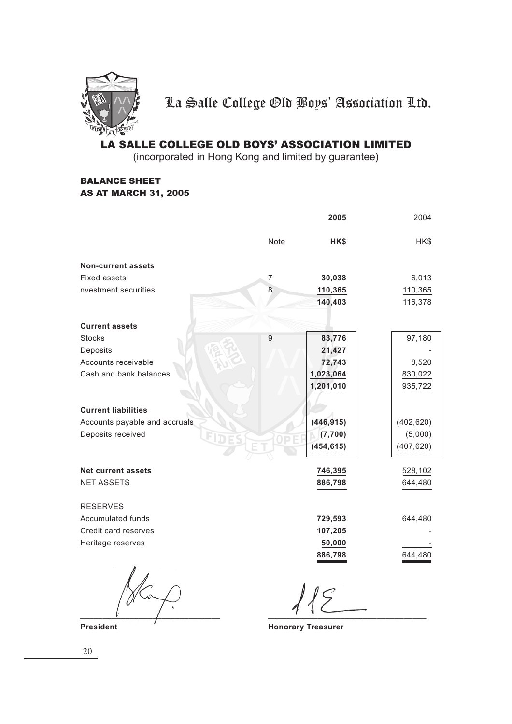

### LA SALLE COLLEGE OLD BOYS' ASSOCIATION LIMITED

(incorporated in Hong Kong and limited by guarantee)

#### BALANCE SHEET AS AT MARCH 31, 2005

|                               |                | 2005       | 2004       |
|-------------------------------|----------------|------------|------------|
|                               | Note           | HK\$       | HK\$       |
| <b>Non-current assets</b>     |                |            |            |
| Fixed assets                  | 7              | 30,038     | 6,013      |
| nvestment securities          | 8              | 110,365    | 110,365    |
|                               |                | 140,403    | 116,378    |
| <b>Current assets</b>         |                |            |            |
| <b>Stocks</b>                 | $\overline{9}$ | 83,776     | 97,180     |
| Deposits                      |                | 21,427     |            |
| Accounts receivable           |                | 72,743     | 8,520      |
| Cash and bank balances        |                | 1,023,064  | 830,022    |
|                               |                | 1,201,010  | 935,722    |
| <b>Current liabilities</b>    |                |            |            |
| Accounts payable and accruals |                | (446, 915) | (402, 620) |
| Deposits received             |                | (7,700)    | (5,000)    |
|                               |                | (454, 615) | (407, 620) |
| <b>Net current assets</b>     |                | 746,395    | 528,102    |
| <b>NET ASSETS</b>             |                | 886,798    | 644,480    |
|                               |                |            |            |
| <b>RESERVES</b>               |                |            |            |
| Accumulated funds             |                | 729,593    | 644,480    |
| Credit card reserves          |                | 107,205    |            |
| Heritage reserves             |                | 50,000     |            |
|                               |                | 886,798    | 644,480    |
|                               |                |            |            |
|                               |                |            |            |

**President**  $\overline{\phantom{a}}$  **President**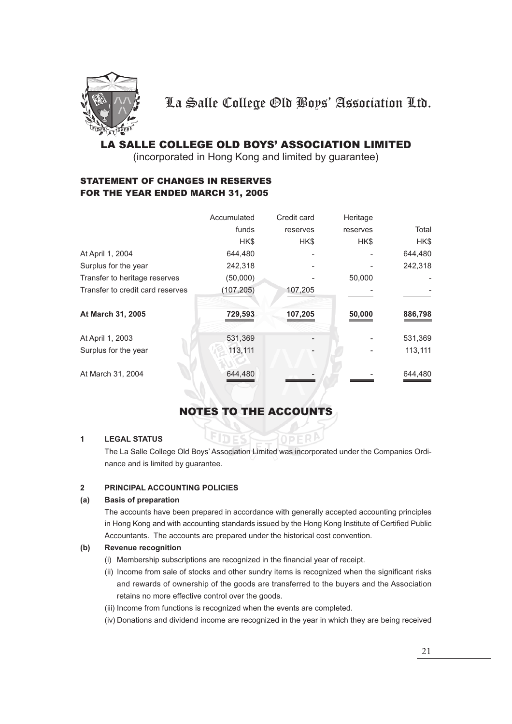

### LA SALLE COLLEGE OLD BOYS' ASSOCIATION LIMITED

(incorporated in Hong Kong and limited by guarantee)

### STATEMENT OF CHANGES IN RESERVES FOR THE YEAR ENDED MARCH 31, 2005

|                                  | Accumulated | Credit card | Heritage |         |
|----------------------------------|-------------|-------------|----------|---------|
|                                  | funds       | reserves    | reserves | Total   |
|                                  | HK\$        | HK\$        | HK\$     | HK\$    |
| At April 1, 2004                 | 644,480     |             |          | 644,480 |
| Surplus for the year             | 242,318     |             |          | 242,318 |
| Transfer to heritage reserves    | (50,000)    |             | 50,000   |         |
| Transfer to credit card reserves | (107, 205)  | 107,205     |          |         |
| At March 31, 2005                | 729,593     | 107,205     | 50,000   | 886,798 |
| At April 1, 2003                 | 531,369     |             |          | 531,369 |
| Surplus for the year             | 113,111     |             |          | 113,111 |
| At March 31, 2004                | 644,480     |             |          | 644,480 |

## NOTES TO THE ACCOUNTS

#### **1 LEGAL STATUS**

The La Salle College Old Boys' Association Limited was incorporated under the Companies Ordinance and is limited by guarantee.

#### **2 PRINCIPAL ACCOUNTING POLICIES**

#### **(a) Basis of preparation**

The accounts have been prepared in accordance with generally accepted accounting principles in Hong Kong and with accounting standards issued by the Hong Kong Institute of Certified Public Accountants. The accounts are prepared under the historical cost convention.

#### **(b) Revenue recognition**

- (i) Membership subscriptions are recognized in the financial year of receipt.
- (ii) Income from sale of stocks and other sundry items is recognized when the significant risks and rewards of ownership of the goods are transferred to the buyers and the Association retains no more effective control over the goods.
- (iii) Income from functions is recognized when the events are completed.
- (iv) Donations and dividend income are recognized in the year in which they are being received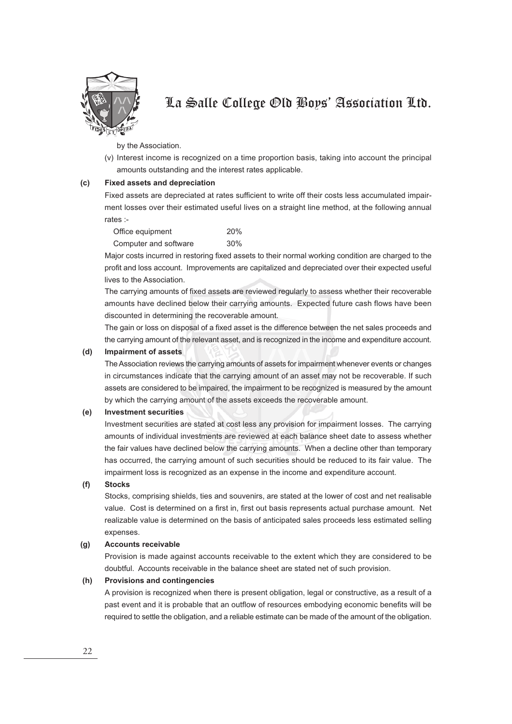

by the Association.

(v) Interest income is recognized on a time proportion basis, taking into account the principal amounts outstanding and the interest rates applicable.

#### **(c) Fixed assets and depreciation**

Fixed assets are depreciated at rates sufficient to write off their costs less accumulated impairment losses over their estimated useful lives on a straight line method, at the following annual rates :-

| Office equipment      | 20% |
|-----------------------|-----|
| Computer and software | 30% |

Major costs incurred in restoring fixed assets to their normal working condition are charged to the profit and loss account. Improvements are capitalized and depreciated over their expected useful lives to the Association.

The carrying amounts of fixed assets are reviewed regularly to assess whether their recoverable amounts have declined below their carrying amounts. Expected future cash flows have been discounted in determining the recoverable amount.

The gain or loss on disposal of a fixed asset is the difference between the net sales proceeds and the carrying amount of the relevant asset, and is recognized in the income and expenditure account.

#### **(d) Impairment of assets**

The Association reviews the carrying amounts of assets for impairment whenever events or changes in circumstances indicate that the carrying amount of an asset may not be recoverable. If such assets are considered to be impaired, the impairment to be recognized is measured by the amount by which the carrying amount of the assets exceeds the recoverable amount.

#### **(e) Investment securities**

Investment securities are stated at cost less any provision for impairment losses. The carrying amounts of individual investments are reviewed at each balance sheet date to assess whether the fair values have declined below the carrying amounts. When a decline other than temporary has occurred, the carrying amount of such securities should be reduced to its fair value. The impairment loss is recognized as an expense in the income and expenditure account.

#### **(f) Stocks**

Stocks, comprising shields, ties and souvenirs, are stated at the lower of cost and net realisable value. Cost is determined on a first in, first out basis represents actual purchase amount. Net realizable value is determined on the basis of anticipated sales proceeds less estimated selling expenses.

#### **(g) Accounts receivable**

Provision is made against accounts receivable to the extent which they are considered to be doubtful. Accounts receivable in the balance sheet are stated net of such provision.

#### **(h) Provisions and contingencies**

A provision is recognized when there is present obligation, legal or constructive, as a result of a past event and it is probable that an outflow of resources embodying economic benefits will be required to settle the obligation, and a reliable estimate can be made of the amount of the obligation.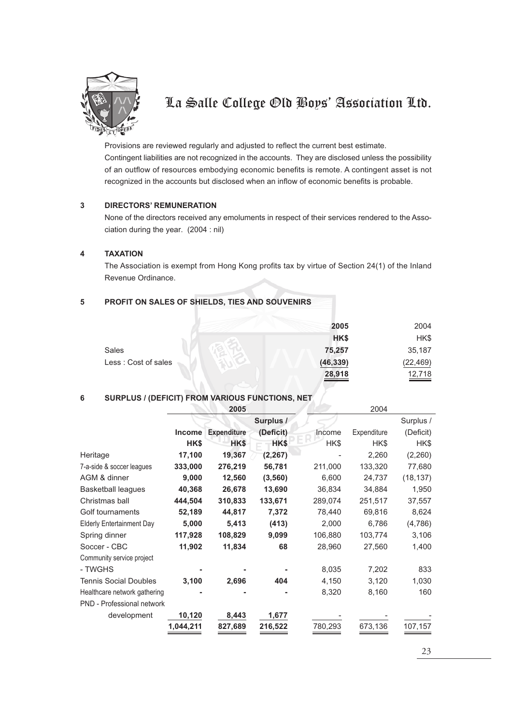

Provisions are reviewed regularly and adjusted to reflect the current best estimate. Contingent liabilities are not recognized in the accounts. They are disclosed unless the possibility of an outflow of resources embodying economic benefits is remote. A contingent asset is not recognized in the accounts but disclosed when an inflow of economic benefits is probable.

#### **3 DIRECTORS' REMUNERATION**

None of the directors received any emoluments in respect of their services rendered to the Association during the year. (2004 : nil)

#### **4 TAXATION**

The Association is exempt from Hong Kong profits tax by virtue of Section 24(1) of the Inland Revenue Ordinance.

### **5 PROFIT ON SALES OF SHIELDS, TIES AND SOUVENIRS**

|                     | 2005      | 2004      |
|---------------------|-----------|-----------|
|                     | HK\$      | HK\$      |
| <b>Sales</b>        | 75,257    | 35,187    |
| Less: Cost of sales | (46, 339) | (22, 469) |
|                     | 28,918    | 12,718    |

#### **6 SURPLUS / (DEFICIT) FROM VARIOUS FUNCTIONS, NET**

|                                  |               | 2005               |           |         | 2004        |           |
|----------------------------------|---------------|--------------------|-----------|---------|-------------|-----------|
|                                  |               |                    | Surplus / |         |             | Surplus / |
|                                  | <b>Income</b> | <b>Expenditure</b> | (Deficit) | Income  | Expenditure | (Deficit) |
|                                  | HK\$          | HK\$               | HK\$      | HK\$    | HK\$        | HK\$      |
| Heritage                         | 17,100        | 19,367             | (2, 267)  |         | 2,260       | (2,260)   |
| 7-a-side & soccer leagues        | 333,000       | 276,219            | 56,781    | 211,000 | 133,320     | 77,680    |
| AGM & dinner                     | 9,000         | 12,560             | (3, 560)  | 6,600   | 24,737      | (18, 137) |
| <b>Basketball leagues</b>        | 40,368        | 26,678             | 13,690    | 36,834  | 34,884      | 1,950     |
| Christmas ball                   | 444,504       | 310,833            | 133,671   | 289,074 | 251,517     | 37,557    |
| Golf tournaments                 | 52,189        | 44,817             | 7,372     | 78,440  | 69,816      | 8,624     |
| <b>Elderly Entertainment Day</b> | 5,000         | 5,413              | (413)     | 2,000   | 6,786       | (4,786)   |
| Spring dinner                    | 117,928       | 108,829            | 9,099     | 106,880 | 103,774     | 3,106     |
| Soccer - CBC                     | 11,902        | 11,834             | 68        | 28,960  | 27,560      | 1,400     |
| Community service project        |               |                    |           |         |             |           |
| - TWGHS                          |               |                    |           | 8,035   | 7,202       | 833       |
| <b>Tennis Social Doubles</b>     | 3,100         | 2,696              | 404       | 4,150   | 3,120       | 1,030     |
| Healthcare network gathering     |               |                    |           | 8,320   | 8,160       | 160       |
| PND - Professional network       |               |                    |           |         |             |           |
| development                      | 10,120        | 8,443              | 1,677     |         |             |           |
|                                  | 1,044,211     | 827,689            | 216,522   | 780,293 | 673,136     | 107,157   |